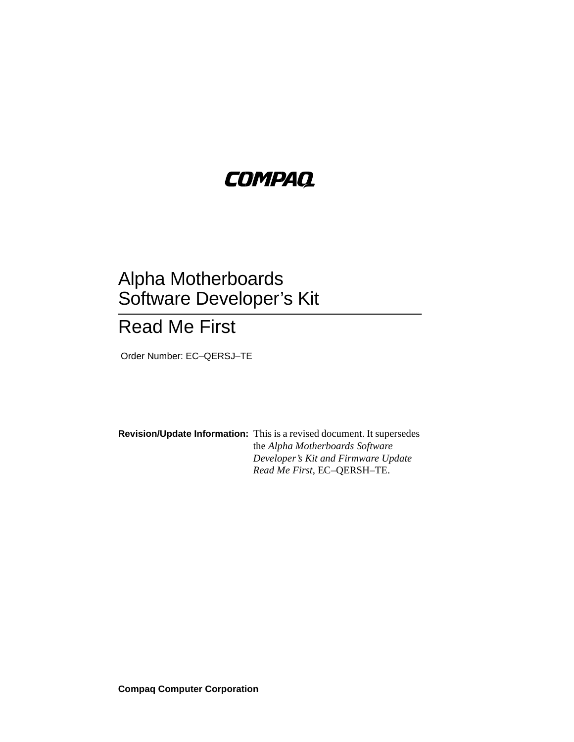# **COMPAQ**

# Alpha Motherboards Software Developer's Kit

# Read Me First

Order Number: EC–QERSJ–TE

**Revision/Update Information:** This is a revised document. It supersedes the *Alpha Motherboards Software Developer's Kit and Firmware Update Read Me First*, EC–QERSH–TE.

**Compaq Computer Corporation**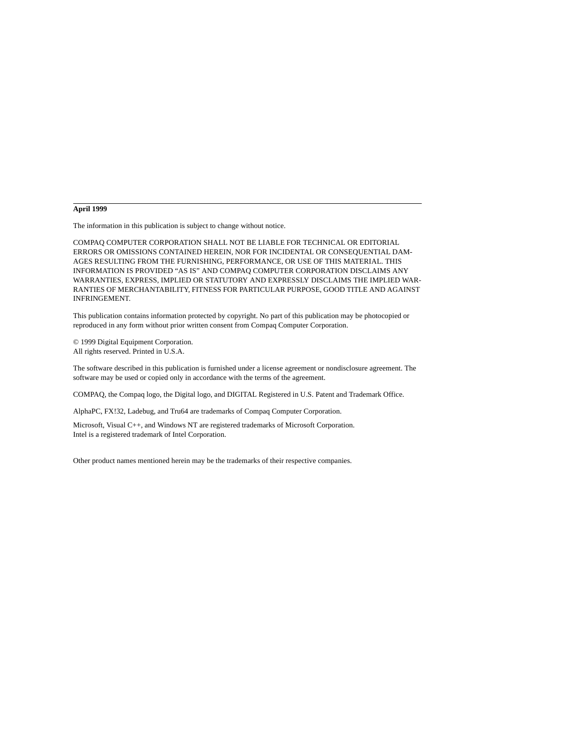#### **April 1999**

The information in this publication is subject to change without notice.

COMPAQ COMPUTER CORPORATION SHALL NOT BE LIABLE FOR TECHNICAL OR EDITORIAL ERRORS OR OMISSIONS CONTAINED HEREIN, NOR FOR INCIDENTAL OR CONSEQUENTIAL DAM-AGES RESULTING FROM THE FURNISHING, PERFORMANCE, OR USE OF THIS MATERIAL. THIS INFORMATION IS PROVIDED "AS IS" AND COMPAQ COMPUTER CORPORATION DISCLAIMS ANY WARRANTIES, EXPRESS, IMPLIED OR STATUTORY AND EXPRESSLY DISCLAIMS THE IMPLIED WAR-RANTIES OF MERCHANTABILITY, FITNESS FOR PARTICULAR PURPOSE, GOOD TITLE AND AGAINST INFRINGEMENT.

This publication contains information protected by copyright. No part of this publication may be photocopied or reproduced in any form without prior written consent from Compaq Computer Corporation.

© 1999 Digital Equipment Corporation. All rights reserved. Printed in U.S.A.

The software described in this publication is furnished under a license agreement or nondisclosure agreement. The software may be used or copied only in accordance with the terms of the agreement.

COMPAQ, the Compaq logo, the Digital logo, and DIGITAL Registered in U.S. Patent and Trademark Office.

AlphaPC, FX!32, Ladebug, and Tru64 are trademarks of Compaq Computer Corporation.

Microsoft, Visual C++, and Windows NT are registered trademarks of Microsoft Corporation. Intel is a registered trademark of Intel Corporation.

Other product names mentioned herein may be the trademarks of their respective companies.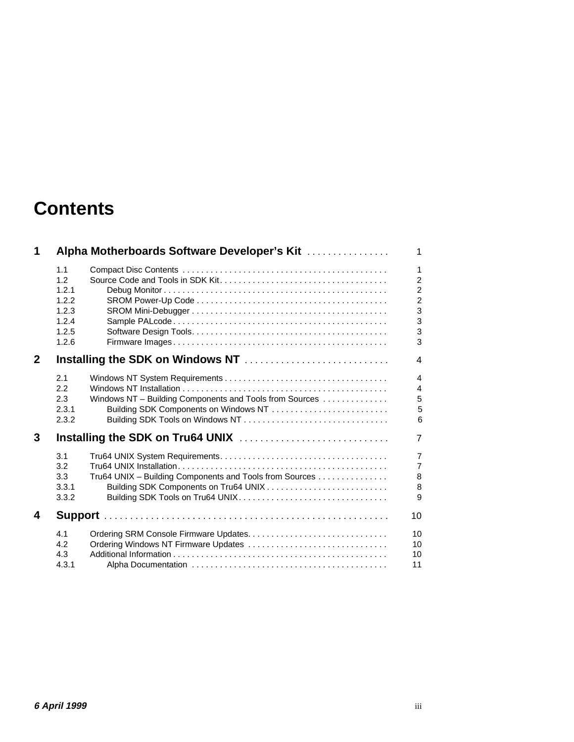# **Contents**

| 1            |       | Alpha Motherboards Software Developer's Kit             | $\mathbf{1}$   |
|--------------|-------|---------------------------------------------------------|----------------|
|              | 1.1   |                                                         | $\mathbf{1}$   |
|              | 1.2   |                                                         | $\overline{c}$ |
|              | 1.2.1 |                                                         | $\overline{c}$ |
|              | 1.2.2 |                                                         | $\overline{c}$ |
|              | 1.2.3 |                                                         | 3              |
|              | 1.2.4 |                                                         | $\overline{3}$ |
|              | 1.2.5 |                                                         | 3              |
|              | 1.2.6 |                                                         | 3              |
| $\mathbf{2}$ |       |                                                         | $\overline{4}$ |
|              | 2.1   |                                                         | $\overline{4}$ |
|              | 2.2   |                                                         | $\overline{4}$ |
|              | 2.3   | Windows NT - Building Components and Tools from Sources | 5              |
|              | 2.3.1 |                                                         | 5              |
|              | 2.3.2 |                                                         | 6              |
| 3            |       |                                                         | $\overline{7}$ |
|              | 3.1   |                                                         | $\overline{7}$ |
|              | 3.2   |                                                         | $\overline{7}$ |
|              | 3.3   | Tru64 UNIX - Building Components and Tools from Sources | $\bf 8$        |
|              | 3.3.1 |                                                         | 8              |
|              | 3.3.2 |                                                         | 9              |
| 4            |       |                                                         |                |
|              | 4.1   |                                                         | 10             |
|              | 4.2   | Ordering Windows NT Firmware Updates                    | 10             |
|              | 4.3   |                                                         | 10             |
|              | 4.3.1 |                                                         | 11             |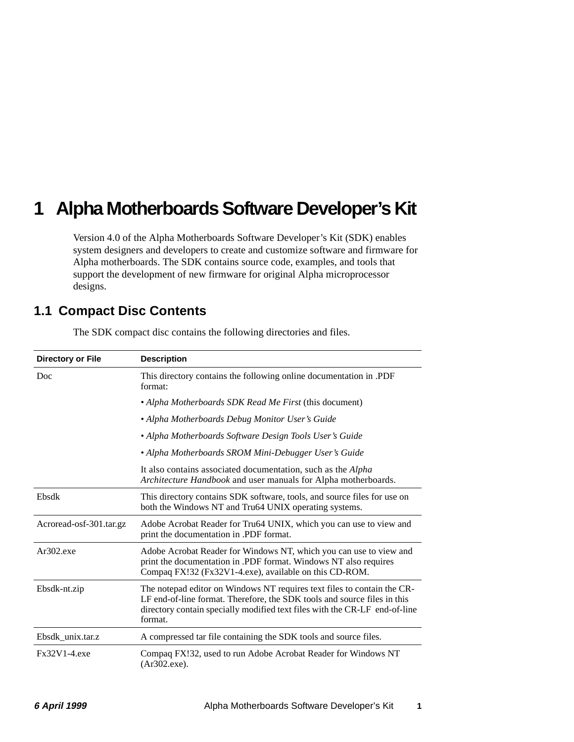# <span id="page-4-0"></span>**1 Alpha Motherboards Software Developer's Kit**

Version 4.0 of the Alpha Motherboards Software Developer's Kit (SDK) enables system designers and developers to create and customize software and firmware for Alpha motherboards. The SDK contains source code, examples, and tools that support the development of new firmware for original Alpha microprocessor designs.

## **1.1 Compact Disc Contents**

| <b>Directory or File</b> | <b>Description</b>                                                                                                                                                                                                                           |  |
|--------------------------|----------------------------------------------------------------------------------------------------------------------------------------------------------------------------------------------------------------------------------------------|--|
| Doc                      | This directory contains the following online documentation in .PDF<br>format:                                                                                                                                                                |  |
|                          | • Alpha Motherboards SDK Read Me First (this document)                                                                                                                                                                                       |  |
|                          | • Alpha Motherboards Debug Monitor User's Guide                                                                                                                                                                                              |  |
|                          | • Alpha Motherboards Software Design Tools User's Guide                                                                                                                                                                                      |  |
|                          | • Alpha Motherboards SROM Mini-Debugger User's Guide                                                                                                                                                                                         |  |
|                          | It also contains associated documentation, such as the Alpha<br>Architecture Handbook and user manuals for Alpha motherboards.                                                                                                               |  |
| Ebsdk                    | This directory contains SDK software, tools, and source files for use on<br>both the Windows NT and Tru64 UNIX operating systems.                                                                                                            |  |
| Acroread-osf-301.tar.gz  | Adobe Acrobat Reader for Tru64 UNIX, which you can use to view and<br>print the documentation in .PDF format.                                                                                                                                |  |
| $Ar302$ .exe             | Adobe Acrobat Reader for Windows NT, which you can use to view and<br>print the documentation in .PDF format. Windows NT also requires<br>Compaq FX!32 (Fx32V1-4.exe), available on this CD-ROM.                                             |  |
| Ebsdk-nt.zip             | The notepad editor on Windows NT requires text files to contain the CR-<br>LF end-of-line format. Therefore, the SDK tools and source files in this<br>directory contain specially modified text files with the CR-LF end-of-line<br>format. |  |
| Ebsdk unix.tar.z         | A compressed tar file containing the SDK tools and source files.                                                                                                                                                                             |  |
| Fx32V1-4.exe             | Compaq FX!32, used to run Adobe Acrobat Reader for Windows NT<br>$(Ar302,\text{exe})$ .                                                                                                                                                      |  |

The SDK compact disc contains the following directories and files.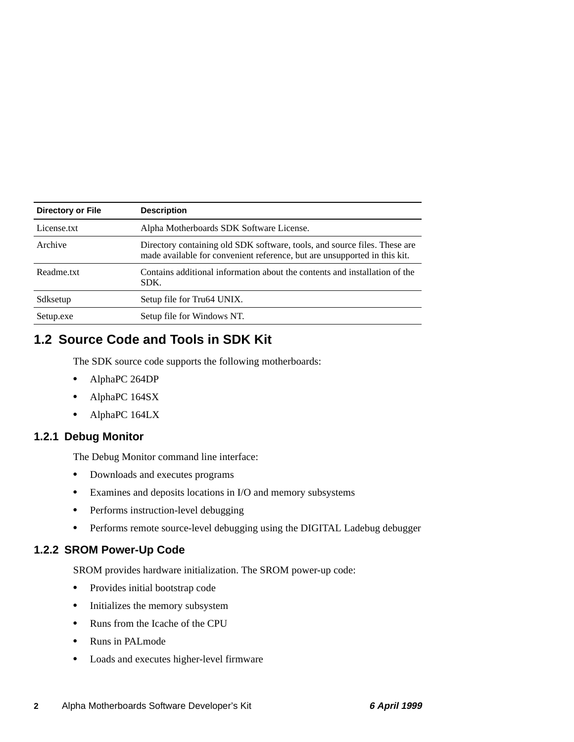<span id="page-5-0"></span>

| Directory or File | <b>Description</b>                                                                                                                                     |
|-------------------|--------------------------------------------------------------------------------------------------------------------------------------------------------|
| License.txt       | Alpha Motherboards SDK Software License.                                                                                                               |
| Archive           | Directory containing old SDK software, tools, and source files. These are<br>made available for convenient reference, but are unsupported in this kit. |
| Readme.txt        | Contains additional information about the contents and installation of the<br>SDK.                                                                     |
| Sdksetup          | Setup file for Tru64 UNIX.                                                                                                                             |
| Setup.exe         | Setup file for Windows NT.                                                                                                                             |

# **1.2 Source Code and Tools in SDK Kit**

The SDK source code supports the following motherboards:

- **•** AlphaPC 264DP
- **•** AlphaPC 164SX
- **•** AlphaPC 164LX

#### **1.2.1 Debug Monitor**

The Debug Monitor command line interface:

- **•** Downloads and executes programs
- **•** Examines and deposits locations in I/O and memory subsystems
- **•** Performs instruction-level debugging
- **•** Performs remote source-level debugging using the DIGITAL Ladebug debugger

### **1.2.2 SROM Power-Up Code**

SROM provides hardware initialization. The SROM power-up code:

- **•** Provides initial bootstrap code
- Initializes the memory subsystem
- **•** Runs from the Icache of the CPU
- **•** Runs in PALmode
- **•** Loads and executes higher-level firmware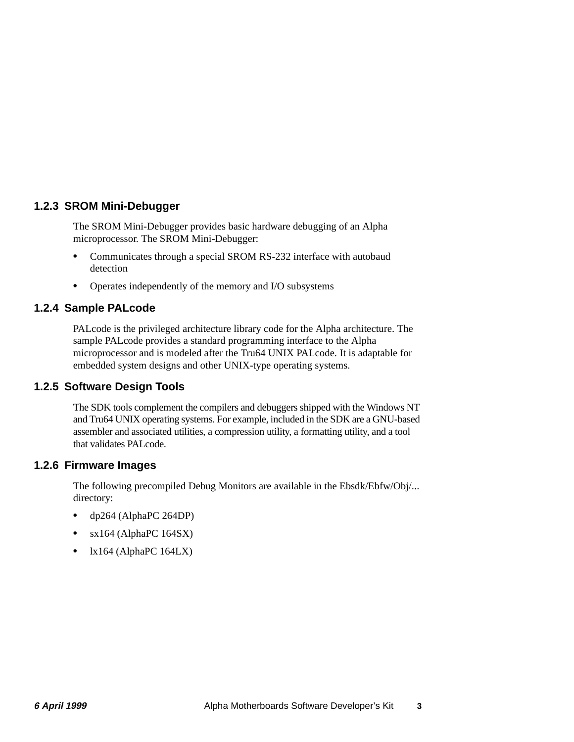### <span id="page-6-0"></span>**1.2.3 SROM Mini-Debugger**

The SROM Mini-Debugger provides basic hardware debugging of an Alpha microprocessor. The SROM Mini-Debugger:

- **•** Communicates through a special SROM RS-232 interface with autobaud detection
- **•** Operates independently of the memory and I/O subsystems

### **1.2.4 Sample PALcode**

PALcode is the privileged architecture library code for the Alpha architecture. The sample PALcode provides a standard programming interface to the Alpha microprocessor and is modeled after the Tru64 UNIX PALcode. It is adaptable for embedded system designs and other UNIX-type operating systems.

### **1.2.5 Software Design Tools**

The SDK tools complement the compilers and debuggers shipped with the Windows NT and Tru64 UNIX operating systems. For example, included in the SDK are a GNU-based assembler and associated utilities, a compression utility, a formatting utility, and a tool that validates PALcode.

#### **1.2.6 Firmware Images**

The following precompiled Debug Monitors are available in the Ebsdk/Ebfw/Obj/... directory:

- **•** dp264 (AlphaPC 264DP)
- **•** sx164 (AlphaPC 164SX)
- lx164 (AlphaPC 164LX)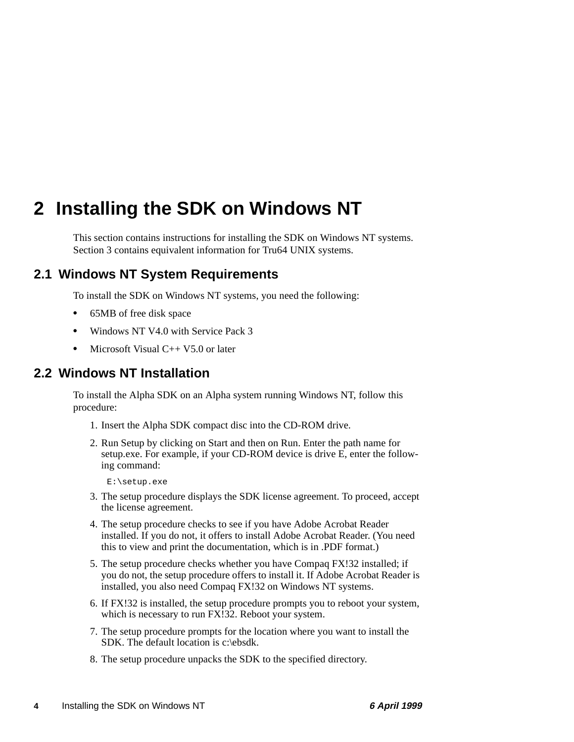# <span id="page-7-0"></span>**2 Installing the SDK on Windows NT**

This section contains instructions for installing the SDK on Windows NT systems. [Section 3](#page-10-0) contains equivalent information for Tru64 UNIX systems.

# **2.1 Windows NT System Requirements**

To install the SDK on Windows NT systems, you need the following:

- **•** 65MB of free disk space
- **•** Windows NT V4.0 with Service Pack 3
- Microsoft Visual C++ V5.0 or later

## **2.2 Windows NT Installation**

To install the Alpha SDK on an Alpha system running Windows NT, follow this procedure:

- 1. Insert the Alpha SDK compact disc into the CD-ROM drive.
- 2. Run Setup by clicking on Start and then on Run. Enter the path name for setup.exe. For example, if your CD-ROM device is drive E, enter the following command:

E:\setup.exe

- 3. The setup procedure displays the SDK license agreement. To proceed, accept the license agreement.
- 4. The setup procedure checks to see if you have Adobe Acrobat Reader installed. If you do not, it offers to install Adobe Acrobat Reader. (You need this to view and print the documentation, which is in .PDF format.)
- 5. The setup procedure checks whether you have Compaq FX!32 installed; if you do not, the setup procedure offers to install it. If Adobe Acrobat Reader is installed, you also need Compaq FX!32 on Windows NT systems.
- 6. If FX!32 is installed, the setup procedure prompts you to reboot your system, which is necessary to run FX!32. Reboot your system.
- 7. The setup procedure prompts for the location where you want to install the SDK. The default location is c:\ebsdk.
- 8. The setup procedure unpacks the SDK to the specified directory.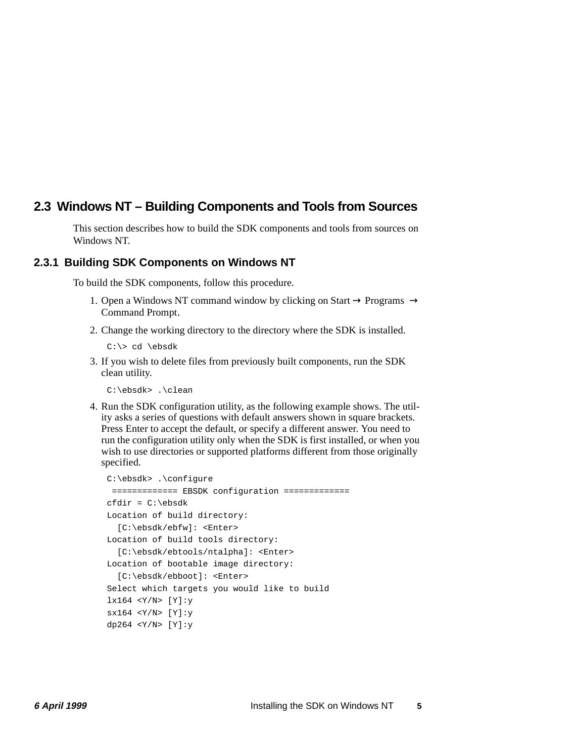## <span id="page-8-0"></span>**2.3 Windows NT – Building Components and Tools from Sources**

This section describes how to build the SDK components and tools from sources on Windows NT.

#### **2.3.1 Building SDK Components on Windows NT**

To build the SDK components, follow this procedure.

- 1. Open a Windows NT command window by clicking on Start  $\rightarrow$  Programs  $\rightarrow$ Command Prompt.
- 2. Change the working directory to the directory where the SDK is installed.

C:\> cd \ebsdk

3. If you wish to delete files from previously built components, run the SDK clean utility.

C:\ebsdk> .\clean

4. Run the SDK configuration utility, as the following example shows. The utility asks a series of questions with default answers shown in square brackets. Press Enter to accept the default, or specify a different answer. You need to run the configuration utility only when the SDK is first installed, or when you wish to use directories or supported platforms different from those originally specified.

```
C:\ebsdk> .\configure
  ============= EBSDK configuration =============
cfdir = C:\ebsdkLocation of build directory: 
   [C:\ebsdk/ebfw]: <Enter>
Location of build tools directory:
   [C:\ebsdk/ebtools/ntalpha]: <Enter>
Location of bootable image directory:
   [C:\ebsdk/ebboot]: <Enter>
Select which targets you would like to build
lx164 <Y/N> [Y]:y
sx164 <Y/N> [Y]:y
dp264 \langle Y/N \rangle [Y]: y
```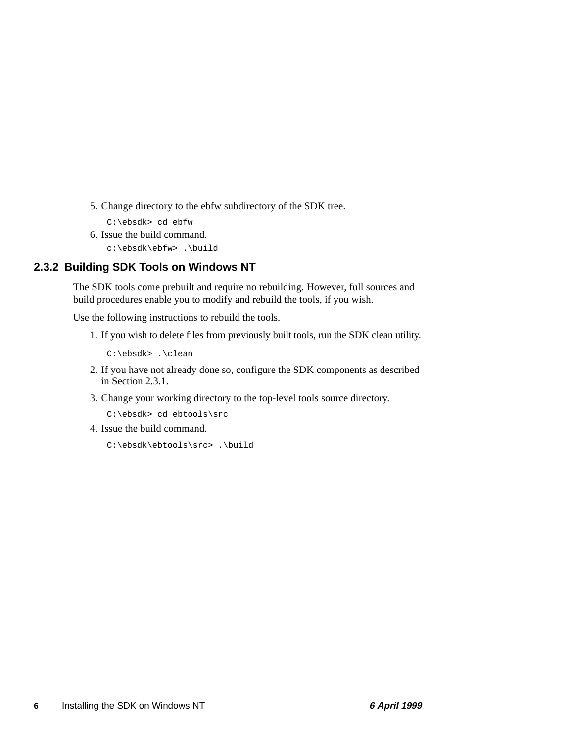- <span id="page-9-0"></span>5. Change directory to the ebfw subdirectory of the SDK tree.
	- C:\ebsdk> cd ebfw
- 6. Issue the build command.

c:\ebsdk\ebfw> .\build

### **2.3.2 Building SDK Tools on Windows NT**

The SDK tools come prebuilt and require no rebuilding. However, full sources and build procedures enable you to modify and rebuild the tools, if you wish.

Use the following instructions to rebuild the tools.

1. If you wish to delete files from previously built tools, run the SDK clean utility.

C:\ebsdk> .\clean

- 2. If you have not already done so, configure the SDK components as described in [Section 2.3.1](#page-8-0).
- 3. Change your working directory to the top-level tools source directory.

C:\ebsdk> cd ebtools\src

4. Issue the build command.

C:\ebsdk\ebtools\src> .\build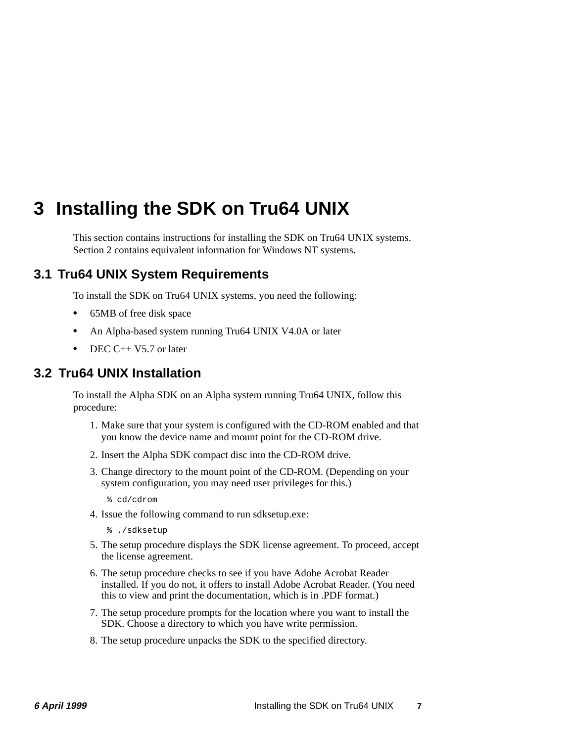# <span id="page-10-0"></span>**3 Installing the SDK on Tru64 UNIX**

This section contains instructions for installing the SDK on Tru64 UNIX systems. [Section 2](#page-7-0) contains equivalent information for Windows NT systems.

# **3.1 Tru64 UNIX System Requirements**

To install the SDK on Tru64 UNIX systems, you need the following:

- **•** 65MB of free disk space
- **•** An Alpha-based system running Tru64 UNIX V4.0A or later
- **•** DEC C++ V5.7 or later

## **3.2 Tru64 UNIX Installation**

To install the Alpha SDK on an Alpha system running Tru64 UNIX, follow this procedure:

- 1. Make sure that your system is configured with the CD-ROM enabled and that you know the device name and mount point for the CD-ROM drive.
- 2. Insert the Alpha SDK compact disc into the CD-ROM drive.
- 3. Change directory to the mount point of the CD-ROM. (Depending on your system configuration, you may need user privileges for this.)
	- % cd/cdrom
- 4. Issue the following command to run sdksetup.exe:
	- % ./sdksetup
- 5. The setup procedure displays the SDK license agreement. To proceed, accept the license agreement.
- 6. The setup procedure checks to see if you have Adobe Acrobat Reader installed. If you do not, it offers to install Adobe Acrobat Reader. (You need this to view and print the documentation, which is in .PDF format.)
- 7. The setup procedure prompts for the location where you want to install the SDK. Choose a directory to which you have write permission.
- 8. The setup procedure unpacks the SDK to the specified directory.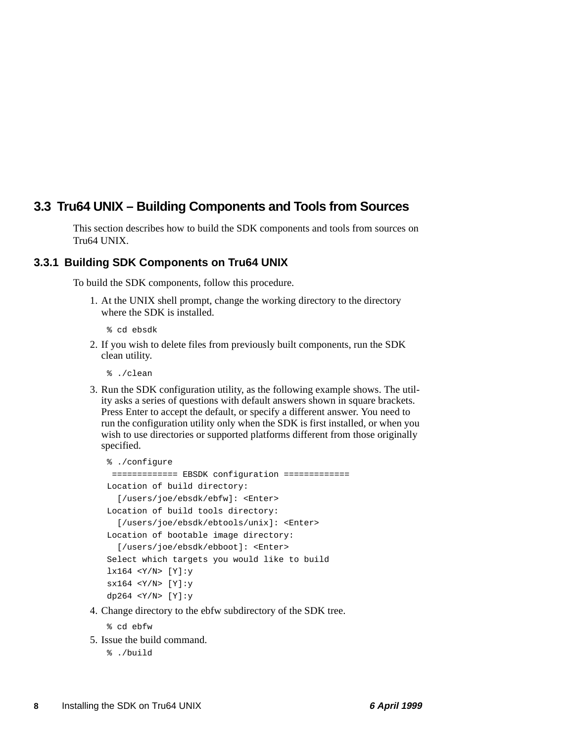# <span id="page-11-0"></span>**3.3 Tru64 UNIX – Building Components and Tools from Sources**

This section describes how to build the SDK components and tools from sources on Tru64 UNIX.

#### **3.3.1 Building SDK Components on Tru64 UNIX**

To build the SDK components, follow this procedure.

- 1. At the UNIX shell prompt, change the working directory to the directory where the SDK is installed.
	- % cd ebsdk
- 2. If you wish to delete files from previously built components, run the SDK clean utility.
	- % ./clean
- 3. Run the SDK configuration utility, as the following example shows. The utility asks a series of questions with default answers shown in square brackets. Press Enter to accept the default, or specify a different answer. You need to run the configuration utility only when the SDK is first installed, or when you wish to use directories or supported platforms different from those originally specified.

```
% ./configure
  ============= EBSDK configuration =============
Location of build directory:
   [/users/joe/ebsdk/ebfw]: <Enter>
Location of build tools directory:
   [/users/joe/ebsdk/ebtools/unix]: <Enter>
Location of bootable image directory:
   [/users/joe/ebsdk/ebboot]: <Enter>
Select which targets you would like to build
lx164 < Y/N > [Y]:ysxi64 < Y/N> [Y]:vdp264 <Y/N> [Y]:y
```
4. Change directory to the ebfw subdirectory of the SDK tree.

% cd ebfw

- 5. Issue the build command.
	- % ./build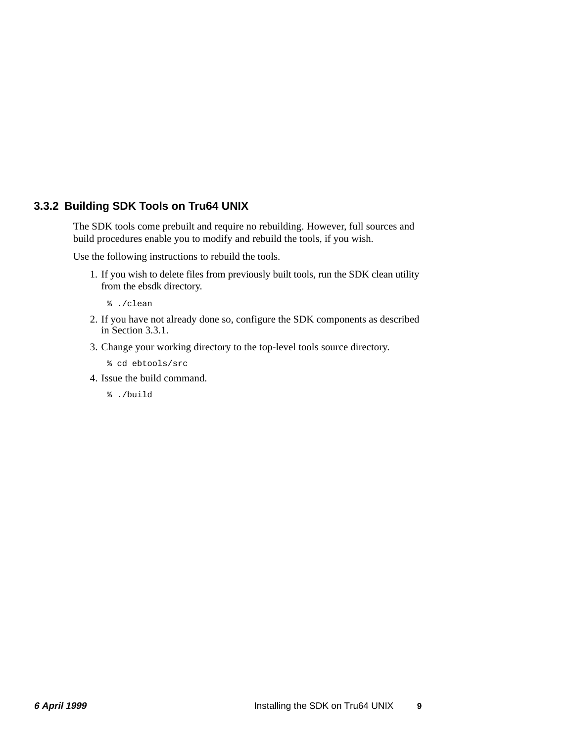### <span id="page-12-0"></span>**3.3.2 Building SDK Tools on Tru64 UNIX**

The SDK tools come prebuilt and require no rebuilding. However, full sources and build procedures enable you to modify and rebuild the tools, if you wish.

Use the following instructions to rebuild the tools.

- 1. If you wish to delete files from previously built tools, run the SDK clean utility from the ebsdk directory.
	- % ./clean
- 2. If you have not already done so, configure the SDK components as described in [Section 3.3.1](#page-11-0).
- 3. Change your working directory to the top-level tools source directory.
	- % cd ebtools/src
- 4. Issue the build command.
	- % ./build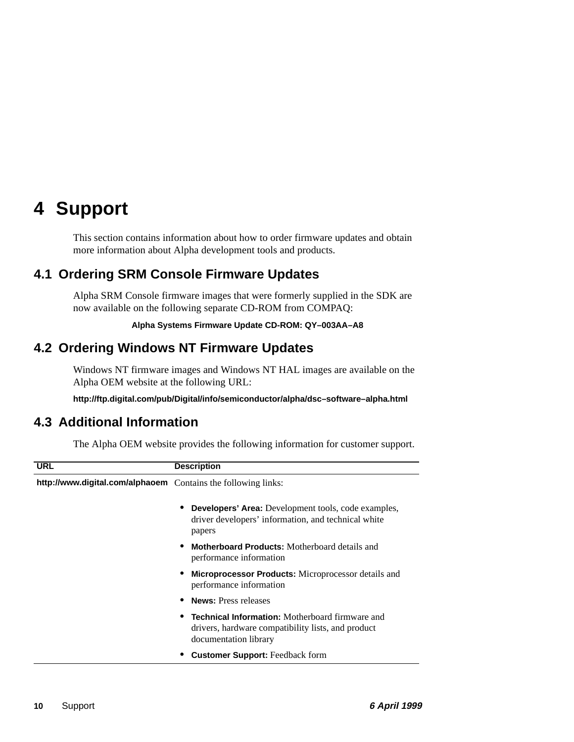# <span id="page-13-0"></span>**4 Support**

This section contains information about how to order firmware updates and obtain more information about Alpha development tools and products.

# **4.1 Ordering SRM Console Firmware Updates**

Alpha SRM Console firmware images that were formerly supplied in the SDK are now available on the following separate CD-ROM from COMPAQ:

#### **Alpha Systems Firmware Update CD-ROM: QY–003AA–A8**

## **4.2 Ordering Windows NT Firmware Updates**

Windows NT firmware images and Windows NT HAL images are available on the Alpha OEM website at the following URL:

**http://ftp.digital.com/pub/Digital/info/semiconductor/alpha/dsc–software–alpha.html**

## **4.3 Additional Information**

The Alpha OEM website provides the following information for customer support.

| <b>URL</b>                                                    | <b>Description</b>                                                                                                                    |
|---------------------------------------------------------------|---------------------------------------------------------------------------------------------------------------------------------------|
| http://www.digital.com/alphaoem Contains the following links: |                                                                                                                                       |
|                                                               | <b>Developers' Area:</b> Development tools, code examples,<br>driver developers' information, and technical white<br>papers           |
|                                                               | <b>Motherboard Products:</b> Motherboard details and<br>performance information                                                       |
|                                                               | Microprocessor Products: Microprocessor details and<br>performance information                                                        |
|                                                               | <b>News:</b> Press releases                                                                                                           |
|                                                               | <b>Technical Information:</b> Motherboard firmware and<br>drivers, hardware compatibility lists, and product<br>documentation library |
|                                                               | <b>Customer Support:</b> Feedback form                                                                                                |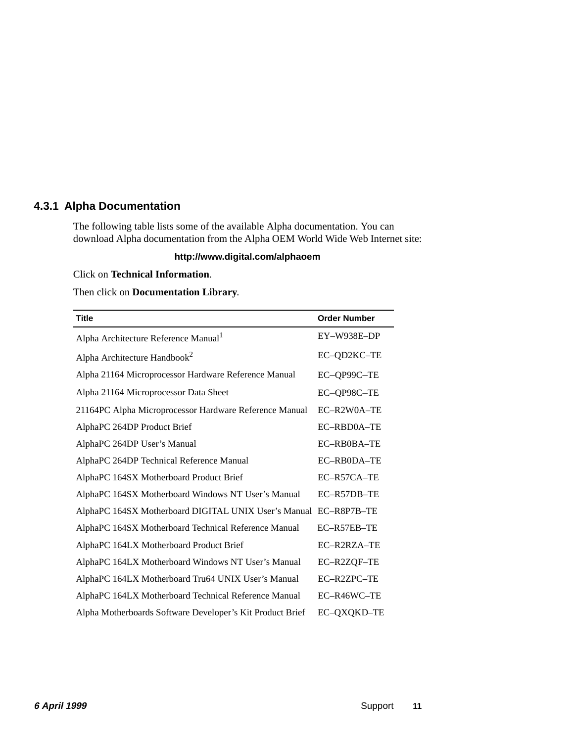#### <span id="page-14-0"></span>**4.3.1 Alpha Documentation**

The following table lists some of the available Alpha documentation. You can download Alpha documentation from the Alpha OEM World Wide Web Internet site:

#### **http://www.digital.com/alphaoem**

#### Click on **Technical Information**.

#### Then click on **Documentation Library**.

| <b>Title</b>                                                     | <b>Order Number</b> |
|------------------------------------------------------------------|---------------------|
| Alpha Architecture Reference Manual <sup>1</sup>                 | EY-W938E-DP         |
| Alpha Architecture Handbook <sup>2</sup>                         | EC-QD2KC-TE         |
| Alpha 21164 Microprocessor Hardware Reference Manual             | EC-QP99C-TE         |
| Alpha 21164 Microprocessor Data Sheet                            | EC-QP98C-TE         |
| 21164PC Alpha Microprocessor Hardware Reference Manual           | EC-R2W0A-TE         |
| AlphaPC 264DP Product Brief                                      | EC-RBD0A-TE         |
| AlphaPC 264DP User's Manual                                      | EC-RB0BA-TE         |
| AlphaPC 264DP Technical Reference Manual                         | EC-RB0DA-TE         |
| AlphaPC 164SX Motherboard Product Brief                          | $EC-R57CA-TE$       |
| AlphaPC 164SX Motherboard Windows NT User's Manual               | EC-R57DB-TE         |
| AlphaPC 164SX Motherboard DIGITAL UNIX User's Manual EC-R8P7B-TE |                     |
| AlphaPC 164SX Motherboard Technical Reference Manual             | EC-R57EB-TE         |
| AlphaPC 164LX Motherboard Product Brief                          | EC-R2RZA-TE         |
| AlphaPC 164LX Motherboard Windows NT User's Manual               | EC-R2ZQF-TE         |
| AlphaPC 164LX Motherboard Tru64 UNIX User's Manual               | EC-R2ZPC-TE         |
| AlphaPC 164LX Motherboard Technical Reference Manual             | EC-R46WC-TE         |
| Alpha Motherboards Software Developer's Kit Product Brief        | EC-QXQKD-TE         |